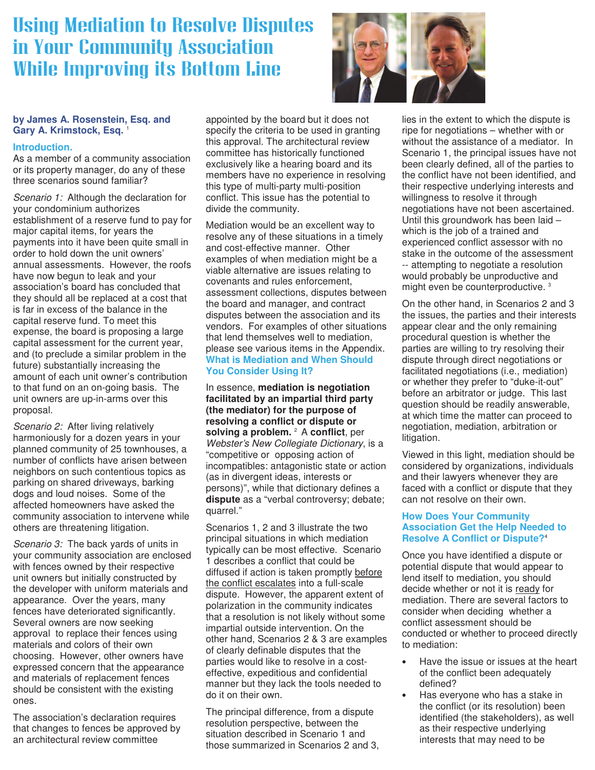# **Using Mediation to Resolve Disputes in Your Community Association While Improving its Bottom Line**



# **by James A. Rosenstein, Esq. and Gary A. Krimstock, Esq.** <sup>1</sup>

# **Introduction.**

As a member of a community association or its property manager, do any of these three scenarios sound familiar?

Scenario 1: Although the declaration for your condominium authorizes establishment of a reserve fund to pay for major capital items, for years the payments into it have been quite small in order to hold down the unit owners' annual assessments. However, the roofs have now begun to leak and your association's board has concluded that they should all be replaced at a cost that is far in excess of the balance in the capital reserve fund. To meet this expense, the board is proposing a large capital assessment for the current year, and (to preclude a similar problem in the future) substantially increasing the amount of each unit owner's contribution to that fund on an on-going basis. The unit owners are up-in-arms over this proposal.

Scenario 2: After living relatively harmoniously for a dozen years in your planned community of 25 townhouses, a number of conflicts have arisen between neighbors on such contentious topics as parking on shared driveways, barking dogs and loud noises. Some of the affected homeowners have asked the community association to intervene while others are threatening litigation.

Scenario 3: The back yards of units in your community association are enclosed with fences owned by their respective unit owners but initially constructed by the developer with uniform materials and appearance. Over the years, many fences have deteriorated significantly. Several owners are now seeking approval to replace their fences using materials and colors of their own choosing. However, other owners have expressed concern that the appearance and materials of replacement fences should be consistent with the existing ones.

The association's declaration requires that changes to fences be approved by an architectural review committee

appointed by the board but it does not specify the criteria to be used in granting this approval. The architectural review committee has historically functioned exclusively like a hearing board and its members have no experience in resolving this type of multi-party multi-position conflict. This issue has the potential to divide the community.

Mediation would be an excellent way to resolve any of these situations in a timely and cost-effective manner. Other examples of when mediation might be a viable alternative are issues relating to covenants and rules enforcement, assessment collections, disputes between the board and manager, and contract disputes between the association and its vendors. For examples of other situations that lend themselves well to mediation, please see various items in the Appendix. **What is Mediation and When Should You Consider Using It?**

In essence, **mediation is negotiation facilitated by an impartial third party (the mediator) for the purpose of resolving a conflict or dispute or solving a problem.** <sup>2</sup> A conflict, per Webster's New Collegiate Dictionary, is a "competitive or opposing action of incompatibles: antagonistic state or action (as in divergent ideas, interests or persons)", while that dictionary defines a **dispute** as a "verbal controversy; debate; quarrel."

Scenarios 1, 2 and 3 illustrate the two principal situations in which mediation typically can be most effective. Scenario 1 describes a conflict that could be diffused if action is taken promptly before the conflict escalates into a full-scale dispute. However, the apparent extent of polarization in the community indicates that a resolution is not likely without some impartial outside intervention. On the other hand, Scenarios 2 & 3 are examples of clearly definable disputes that the parties would like to resolve in a costeffective, expeditious and confidential manner but they lack the tools needed to do it on their own.

The principal difference, from a dispute resolution perspective, between the situation described in Scenario 1 and those summarized in Scenarios 2 and 3, lies in the extent to which the dispute is ripe for negotiations – whether with or without the assistance of a mediator. In Scenario 1, the principal issues have not been clearly defined, all of the parties to the conflict have not been identified, and their respective underlying interests and willingness to resolve it through negotiations have not been ascertained. Until this groundwork has been laid – which is the job of a trained and experienced conflict assessor with no stake in the outcome of the assessment -- attempting to negotiate a resolution would probably be unproductive and might even be counterproductive.<sup>3</sup>

On the other hand, in Scenarios 2 and 3 the issues, the parties and their interests appear clear and the only remaining procedural question is whether the parties are willing to try resolving their dispute through direct negotiations or facilitated negotiations (i.e., mediation) or whether they prefer to "duke-it-out" before an arbitrator or judge. This last question should be readily answerable, at which time the matter can proceed to negotiation, mediation, arbitration or litigation.

Viewed in this light, mediation should be considered by organizations, individuals and their lawyers whenever they are faced with a conflict or dispute that they can not resolve on their own.

### **How Does Your Community Association Get the Help Needed to Resolve A Conflict or Dispute?**<sup>4</sup>

Once you have identified a dispute or potential dispute that would appear to lend itself to mediation, you should decide whether or not it is ready for mediation. There are several factors to consider when deciding whether a conflict assessment should be conducted or whether to proceed directly to mediation:

- Have the issue or issues at the heart of the conflict been adequately defined?
- Has everyone who has a stake in the conflict (or its resolution) been identified (the stakeholders), as well as their respective underlying interests that may need to be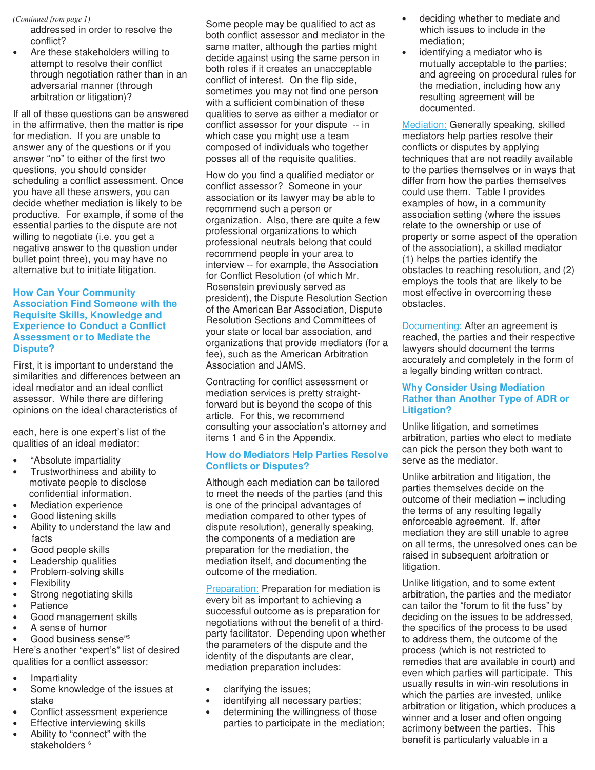addressed in order to resolve the conflict?

• Are these stakeholders willing to attempt to resolve their conflict through negotiation rather than in an adversarial manner (through arbitration or litigation)?

If all of these questions can be answered in the affirmative, then the matter is ripe for mediation. If you are unable to answer any of the questions or if you answer "no" to either of the first two questions, you should consider scheduling a conflict assessment. Once you have all these answers, you can decide whether mediation is likely to be productive. For example, if some of the essential parties to the dispute are not willing to negotiate (i.e. you get a negative answer to the question under bullet point three), you may have no alternative but to initiate litigation.

#### **How Can Your Community Association Find Someone with the Requisite Skills, Knowledge and Experience to Conduct a Conflict Assessment or to Mediate the Dispute?**

First, it is important to understand the similarities and differences between an ideal mediator and an ideal conflict assessor. While there are differing opinions on the ideal characteristics of

each, here is one expert's list of the qualities of an ideal mediator:

- "Absolute impartiality
- Trustworthiness and ability to motivate people to disclose confidential information.
- Mediation experience
- Good listening skills
- Ability to understand the law and facts
- Good people skills
- Leadership qualities
- Problem-solving skills
- **Flexibility**
- Strong negotiating skills
- **Patience**
- Good management skills
- A sense of humor
- Good business sense"<sup>5</sup>

Here's another "expert's" list of desired qualities for a conflict assessor:

- **Impartiality**
- Some knowledge of the issues at stake
- Conflict assessment experience
- **Effective interviewing skills**
- Ability to "connect" with the

Some people may be qualified to act as both conflict assessor and mediator in the same matter, although the parties might decide against using the same person in both roles if it creates an unacceptable conflict of interest. On the flip side, sometimes you may not find one person with a sufficient combination of these qualities to serve as either a mediator or conflict assessor for your dispute -- in which case you might use a team composed of individuals who together posses all of the requisite qualities.

How do you find a qualified mediator or conflict assessor? Someone in your association or its lawyer may be able to recommend such a person or organization. Also, there are quite a few professional organizations to which professional neutrals belong that could recommend people in your area to interview -- for example, the Association for Conflict Resolution (of which Mr. Rosenstein previously served as president), the Dispute Resolution Section of the American Bar Association, Dispute Resolution Sections and Committees of your state or local bar association, and organizations that provide mediators (for a fee), such as the American Arbitration Association and JAMS.

Contracting for conflict assessment or mediation services is pretty straightforward but is beyond the scope of this article. For this, we recommend consulting your association's attorney and items 1 and 6 in the Appendix.

# **How do Mediators Help Parties Resolve Conflicts or Disputes?**

Although each mediation can be tailored to meet the needs of the parties (and this is one of the principal advantages of mediation compared to other types of dispute resolution), generally speaking, the components of a mediation are preparation for the mediation, the mediation itself, and documenting the outcome of the mediation.

**Preparation: Preparation for mediation is** every bit as important to achieving a successful outcome as is preparation for negotiations without the benefit of a thirdparty facilitator. Depending upon whether the parameters of the dispute and the identity of the disputants are clear, mediation preparation includes:

- clarifying the issues;
- identifying all necessary parties;
- determining the willingness of those parties to participate in the mediation;
- *(Continued from page 1)*  deciding whether to mediate and which issues to include in the mediation;
	- identifying a mediator who is mutually acceptable to the parties; and agreeing on procedural rules for the mediation, including how any resulting agreement will be documented.

Mediation: Generally speaking, skilled mediators help parties resolve their conflicts or disputes by applying techniques that are not readily available to the parties themselves or in ways that differ from how the parties themselves could use them. Table I provides examples of how, in a community association setting (where the issues relate to the ownership or use of property or some aspect of the operation of the association), a skilled mediator (1) helps the parties identify the obstacles to reaching resolution, and (2) employs the tools that are likely to be most effective in overcoming these obstacles.

Documenting: After an agreement is reached, the parties and their respective lawyers should document the terms accurately and completely in the form of a legally binding written contract.

# **Why Consider Using Mediation Rather than Another Type of ADR or Litigation?**

Unlike litigation, and sometimes arbitration, parties who elect to mediate can pick the person they both want to serve as the mediator.

Unlike arbitration and litigation, the parties themselves decide on the outcome of their mediation – including the terms of any resulting legally enforceable agreement. If, after mediation they are still unable to agree on all terms, the unresolved ones can be raised in subsequent arbitration or litigation.

Unlike litigation, and to some extent arbitration, the parties and the mediator can tailor the "forum to fit the fuss" by deciding on the issues to be addressed, the specifics of the process to be used to address them, the outcome of the process (which is not restricted to remedies that are available in court) and even which parties will participate. This usually results in win-win resolutions in which the parties are invested, unlike arbitration or litigation, which produces a winner and a loser and often ongoing acrimony between the parties. This benefit is particularly valuable in a

stakeholders<sup>6</sup>